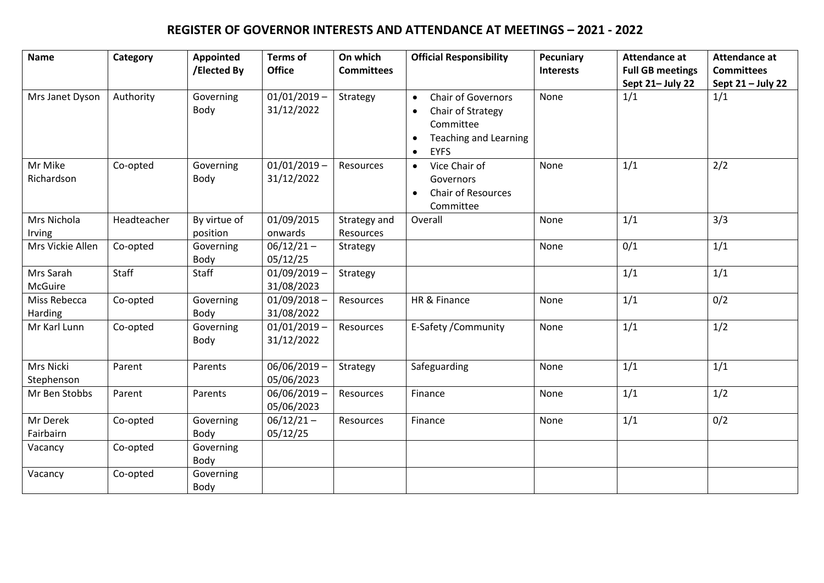## **REGISTER OF GOVERNOR INTERESTS AND ATTENDANCE AT MEETINGS – 2021 - 2022**

| <b>Name</b>             | Category    | Appointed<br>/Elected By | <b>Terms of</b><br><b>Office</b> | On which<br><b>Committees</b> | <b>Official Responsibility</b>                                                                                          | <b>Pecuniary</b><br><b>Interests</b> | <b>Attendance at</b><br><b>Full GB meetings</b> | <b>Attendance at</b><br><b>Committees</b> |
|-------------------------|-------------|--------------------------|----------------------------------|-------------------------------|-------------------------------------------------------------------------------------------------------------------------|--------------------------------------|-------------------------------------------------|-------------------------------------------|
| Mrs Janet Dyson         | Authority   | Governing<br>Body        | $01/01/2019$ -<br>31/12/2022     | Strategy                      | <b>Chair of Governors</b><br>Chair of Strategy<br>$\bullet$<br>Committee<br><b>Teaching and Learning</b><br><b>EYFS</b> | None                                 | Sept 21- July 22<br>1/1                         | Sept 21 - July 22<br>1/1                  |
| Mr Mike<br>Richardson   | Co-opted    | Governing<br>Body        | $01/01/2019$ -<br>31/12/2022     | Resources                     | Vice Chair of<br>$\bullet$<br>Governors<br><b>Chair of Resources</b><br>Committee                                       | None                                 | 1/1                                             | 2/2                                       |
| Mrs Nichola<br>Irving   | Headteacher | By virtue of<br>position | 01/09/2015<br>onwards            | Strategy and<br>Resources     | Overall                                                                                                                 | None                                 | 1/1                                             | 3/3                                       |
| Mrs Vickie Allen        | Co-opted    | Governing<br>Body        | $06/12/21 -$<br>05/12/25         | Strategy                      |                                                                                                                         | None                                 | 0/1                                             | 1/1                                       |
| Mrs Sarah<br>McGuire    | Staff       | Staff                    | $01/09/2019$ -<br>31/08/2023     | Strategy                      |                                                                                                                         |                                      | 1/1                                             | 1/1                                       |
| Miss Rebecca<br>Harding | Co-opted    | Governing<br>Body        | $01/09/2018 -$<br>31/08/2022     | Resources                     | HR & Finance                                                                                                            | None                                 | 1/1                                             | 0/2                                       |
| Mr Karl Lunn            | Co-opted    | Governing<br>Body        | $01/01/2019$ -<br>31/12/2022     | Resources                     | E-Safety / Community                                                                                                    | None                                 | 1/1                                             | 1/2                                       |
| Mrs Nicki<br>Stephenson | Parent      | Parents                  | 06/06/2019 -<br>05/06/2023       | Strategy                      | Safeguarding                                                                                                            | None                                 | 1/1                                             | 1/1                                       |
| Mr Ben Stobbs           | Parent      | Parents                  | 06/06/2019 -<br>05/06/2023       | Resources                     | Finance                                                                                                                 | None                                 | 1/1                                             | 1/2                                       |
| Mr Derek<br>Fairbairn   | Co-opted    | Governing<br>Body        | $06/12/21 -$<br>05/12/25         | Resources                     | Finance                                                                                                                 | None                                 | 1/1                                             | 0/2                                       |
| Vacancy                 | Co-opted    | Governing<br>Body        |                                  |                               |                                                                                                                         |                                      |                                                 |                                           |
| Vacancy                 | Co-opted    | Governing<br>Body        |                                  |                               |                                                                                                                         |                                      |                                                 |                                           |